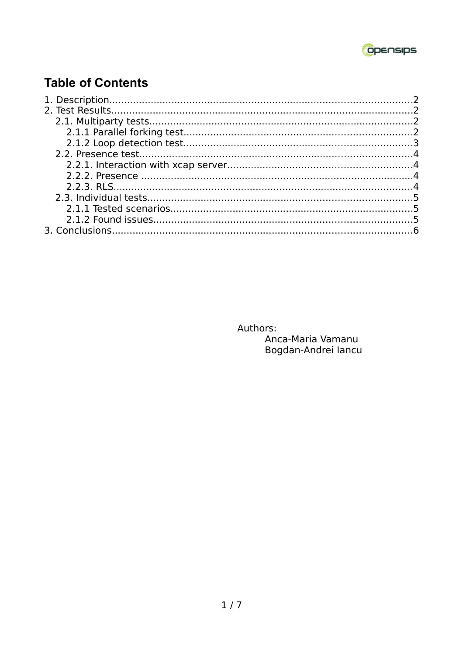

# **Table of Contents**

Authors:

Anca-Maria Vamanu Bogdan-Andrei lancu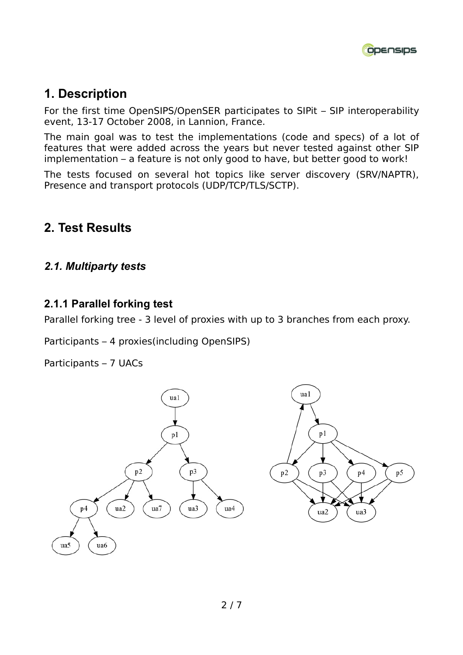

## **1. Description**

For the first time OpenSIPS/OpenSER participates to SIPit – SIP interoperability event, 13-17 October 2008, in Lannion, France.

The main goal was to test the implementations (code and specs) of a lot of features that were added across the years but never tested against other SIP implementation – a feature is not only good to have, but better good to work!

The tests focused on several hot topics like server discovery (SRV/NAPTR), Presence and transport protocols (UDP/TCP/TLS/SCTP).

### **2. Test Results**

#### *2.1. Multiparty tests*

#### **2.1.1 Parallel forking test**

Parallel forking tree - 3 level of proxies with up to 3 branches from each proxy.

Participants – 4 proxies(including OpenSIPS)

Participants – 7 UACs

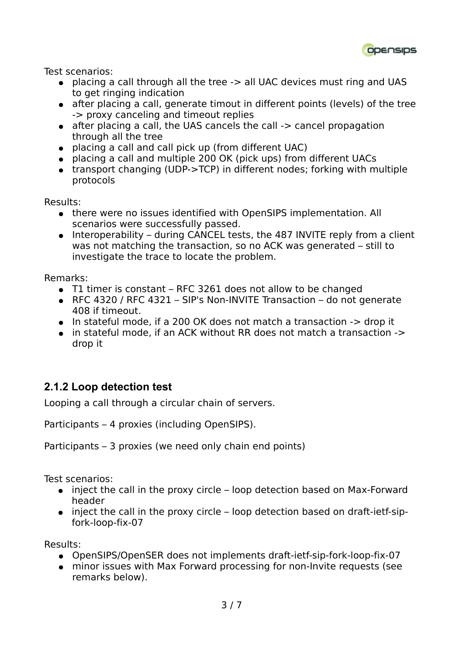

Test scenarios:

- placing a call through all the tree -> all UAC devices must ring and UAS to get ringing indication
- after placing a call, generate timout in different points (levels) of the tree -> proxy canceling and timeout replies
- after placing a call, the UAS cancels the call -> cancel propagation through all the tree
- placing a call and call pick up (from different UAC)
- placing a call and multiple 200 OK (pick ups) from different UACs
- transport changing (UDP->TCP) in different nodes; forking with multiple protocols

Results:

- there were no issues identified with OpenSIPS implementation. All scenarios were successfully passed.
- $\bullet$  Interoperability during CANCEL tests, the 487 INVITE reply from a client was not matching the transaction, so no ACK was generated – still to investigate the trace to locate the problem.

Remarks:

- $\bullet$  T1 timer is constant RFC 3261 does not allow to be changed
- RFC 4320 / RFC 4321 SIP's Non-INVITE Transaction do not generate 408 if timeout.
- In stateful mode, if a 200 OK does not match a transaction -> drop it
- in stateful mode, if an ACK without RR does not match a transaction -> drop it

### **2.1.2 Loop detection test**

Looping a call through a circular chain of servers.

Participants – 4 proxies (including OpenSIPS).

Participants – 3 proxies (we need only chain end points)

Test scenarios:

- inject the call in the proxy circle loop detection based on Max-Forward header
- inject the call in the proxy circle loop detection based on draft-ietf-sipfork-loop-fix-07

Results:

- OpenSIPS/OpenSER does not implements draft-ietf-sip-fork-loop-fix-07
- minor issues with Max Forward processing for non-Invite requests (see remarks below).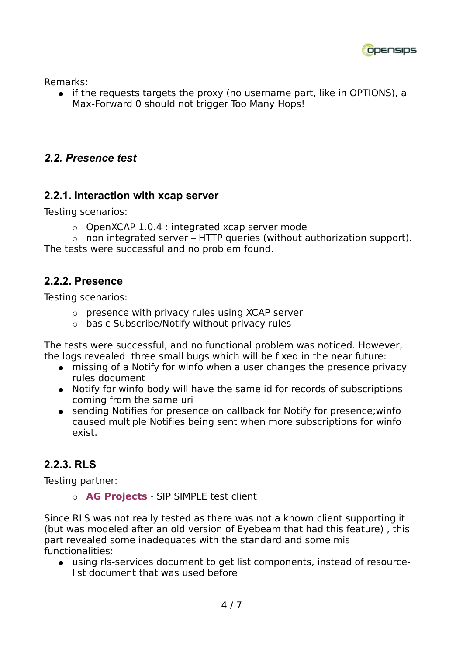

Remarks:

● if the requests targets the proxy (no username part, like in OPTIONS), a Max-Forward 0 should not trigger Too Many Hops!

#### *2.2. Presence test*

#### **2.2.1. Interaction with xcap server**

Testing scenarios:

 $\circ$  OpenXCAP 1.0.4 : integrated xcap server mode

 $\circ$  non integrated server – HTTP queries (without authorization support). The tests were successful and no problem found.

#### **2.2.2. Presence**

Testing scenarios:

- $\circ$  presence with privacy rules using XCAP server
- $\circ$  basic Subscribe/Notify without privacy rules

The tests were successful, and no functional problem was noticed. However, the logs revealed three small bugs which will be fixed in the near future:

- missing of a Notify for winfo when a user changes the presence privacy rules document
- Notify for winfo body will have the same id for records of subscriptions coming from the same uri
- sending Notifies for presence on callback for Notify for presence; winfo caused multiple Notifies being sent when more subscriptions for winfo exist.

### **2.2.3. RLS**

Testing partner:

**AG Projects** - SIP SIMPLE test client

Since RLS was not really tested as there was not a known client supporting it (but was modeled after an old version of Eyebeam that had this feature) , this part revealed some inadequates with the standard and some mis functionalities:

● using rls-services document to get list components, instead of resourcelist document that was used before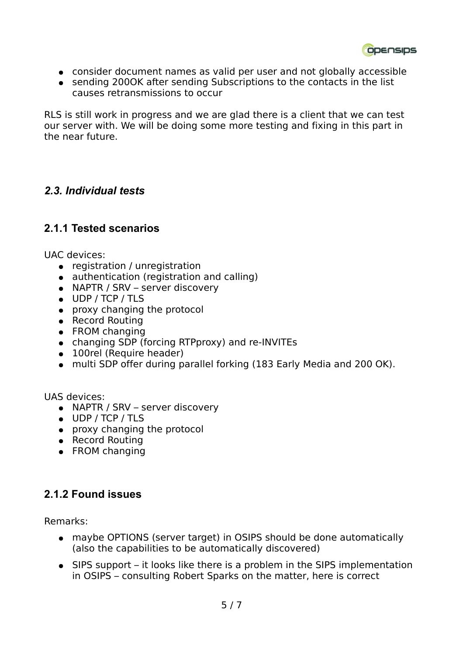ODENSIDS

- consider document names as valid per user and not globally accessible
- sending 2000K after sending Subscriptions to the contacts in the list causes retransmissions to occur

RLS is still work in progress and we are glad there is a client that we can test our server with. We will be doing some more testing and fixing in this part in the near future.

#### *2.3. Individual tests*

#### **2.1.1 Tested scenarios**

UAC devices:

- registration / unregistration
- authentication (registration and calling)
- NAPTR / SRV server discovery
- UDP / TCP / TLS
- proxy changing the protocol
- Record Routing
- FROM changing
- changing SDP (forcing RTPproxy) and re-INVITEs
- 100rel (Require header)
- multi SDP offer during parallel forking (183 Early Media and 200 OK).

UAS devices:

- NAPTR / SRV server discovery
- UDP / TCP / TLS
- proxy changing the protocol
- Record Routing
- FROM changing

#### **2.1.2 Found issues**

Remarks:

- maybe OPTIONS (server target) in OSIPS should be done automatically (also the capabilities to be automatically discovered)
- SIPS support it looks like there is a problem in the SIPS implementation in OSIPS – consulting Robert Sparks on the matter, here is correct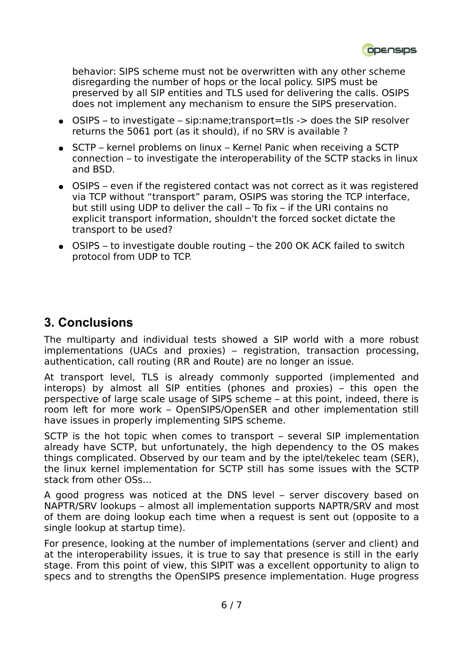behavior: SIPS scheme must not be overwritten with any other scheme disregarding the number of hops or the local policy. SIPS must be preserved by all SIP entities and TLS used for delivering the calls. OSIPS does not implement any mechanism to ensure the SIPS preservation.

- OSIPS to investigate sip:name;transport=tls -> does the SIP resolver returns the 5061 port (as it should), if no SRV is available ?
- SCTP kernel problems on linux Kernel Panic when receiving a SCTP connection – to investigate the interoperability of the SCTP stacks in linux and BSD.
- OSIPS even if the registered contact was not correct as it was registered via TCP without "transport" param, OSIPS was storing the TCP interface, but still using UDP to deliver the call – To fix – if the URI contains no explicit transport information, shouldn't the forced socket dictate the transport to be used?
- $\bullet$  OSIPS to investigate double routing the 200 OK ACK failed to switch protocol from UDP to TCP.

# **3. Conclusions**

The multiparty and individual tests showed a SIP world with a more robust implementations (UACs and proxies) – registration, transaction processing, authentication, call routing (RR and Route) are no longer an issue.

At transport level, TLS is already commonly supported (implemented and interops) by almost all SIP entities (phones and proxies) – this open the perspective of large scale usage of SIPS scheme – at this point, indeed, there is room left for more work – OpenSIPS/OpenSER and other implementation still have issues in properly implementing SIPS scheme.

SCTP is the hot topic when comes to transport – several SIP implementation already have SCTP, but unfortunately, the high dependency to the OS makes things complicated. Observed by our team and by the iptel/tekelec team (SER), the linux kernel implementation for SCTP still has some issues with the SCTP stack from other OSs...

A good progress was noticed at the DNS level – server discovery based on NAPTR/SRV lookups – almost all implementation supports NAPTR/SRV and most of them are doing lookup each time when a request is sent out (opposite to a single lookup at startup time).

For presence, looking at the number of implementations (server and client) and at the interoperability issues, it is true to say that presence is still in the early stage. From this point of view, this SIPIT was a excellent opportunity to align to specs and to strengths the OpenSIPS presence implementation. Huge progress